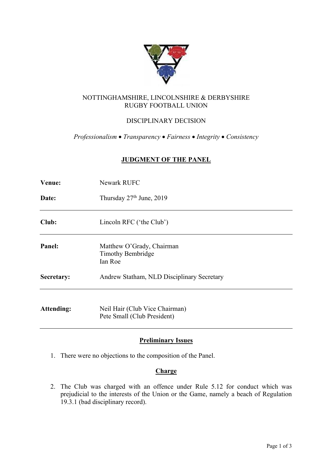

# NOTTINGHAMSHIRE, LINCOLNSHIRE & DERBYSHIRE RUGBY FOOTBALL UNION

# DISCIPLINARY DECISION

*Professionalism* • *Transparency* • *Fairness* • *Integrity* • *Consistency*

## **JUDGMENT OF THE PANEL**

| Venue:            | Newark RUFC                                                      |  |  |  |
|-------------------|------------------------------------------------------------------|--|--|--|
| Date:             | Thursday 27 <sup>th</sup> June, 2019                             |  |  |  |
| Club:             | Lincoln RFC ('the Club')                                         |  |  |  |
| Panel:            | Matthew O'Grady, Chairman<br><b>Timothy Bembridge</b><br>Ian Roe |  |  |  |
| Secretary:        | Andrew Statham, NLD Disciplinary Secretary                       |  |  |  |
| <b>Attending:</b> | Neil Hair (Club Vice Chairman)<br>Pete Small (Club President)    |  |  |  |

# **Preliminary Issues**

1. There were no objections to the composition of the Panel.

### **Charge**

2. The Club was charged with an offence under Rule 5.12 for conduct which was prejudicial to the interests of the Union or the Game, namely a beach of Regulation 19.3.1 (bad disciplinary record).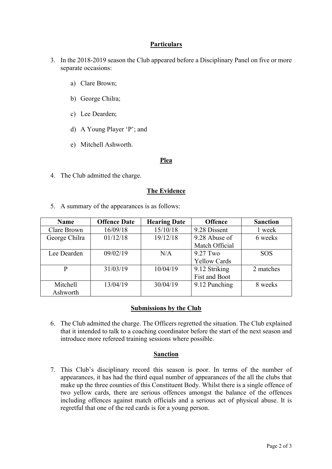## **Particulars**

- 3. In the 2018-2019 season the Club appeared before a Disciplinary Panel on five or more separate occasions:
	- a) Clare Brown;
	- b) George Chilra;
	- c) Lee Dearden;
	- d) A Young Player 'P'; and
	- e) Mitchell Ashworth.

#### **Plea**

4. The Club admitted the charge.

### **The Evidence**

5. A summary of the appearances is as follows:

| <b>Name</b>     | <b>Offence Date</b> | <b>Hearing Date</b> | <b>Offence</b>       | <b>Sanction</b> |
|-----------------|---------------------|---------------------|----------------------|-----------------|
| Clare Brown     | 16/09/18            | 15/10/18            | 9.28 Dissent         | 1 week          |
| George Chilra   | 01/12/18            | 19/12/18            | 9.28 Abuse of        | 6 weeks         |
|                 |                     |                     | Match Official       |                 |
| Lee Dearden     | 09/02/19            | N/A                 | 9.27 Two             | <b>SOS</b>      |
|                 |                     |                     | <b>Yellow Cards</b>  |                 |
| P               | 31/03/19            | 10/04/19            | 9.12 Striking        | 2 matches       |
|                 |                     |                     | <b>Fist and Boot</b> |                 |
| <b>Mitchell</b> | 13/04/19            | 30/04/19            | 9.12 Punching        | 8 weeks         |
| Ashworth        |                     |                     |                      |                 |

### **Submissions by the Club**

6. The Club admitted the charge. The Officers regretted the situation. The Club explained that it intended to talk to a coaching coordinator before the start of the next season and introduce more refereed training sessions where possible.

#### **Sanction**

7. This Club's disciplinary record this season is poor. In terms of the number of appearances, it has had the third equal number of appearances of the all the clubs that make up the three counties of this Constituent Body. Whilst there is a single offence of two yellow cards, there are serious offences amongst the balance of the offences including offences against match officials and a serious act of physical abuse. It is regretful that one of the red cards is for a young person.